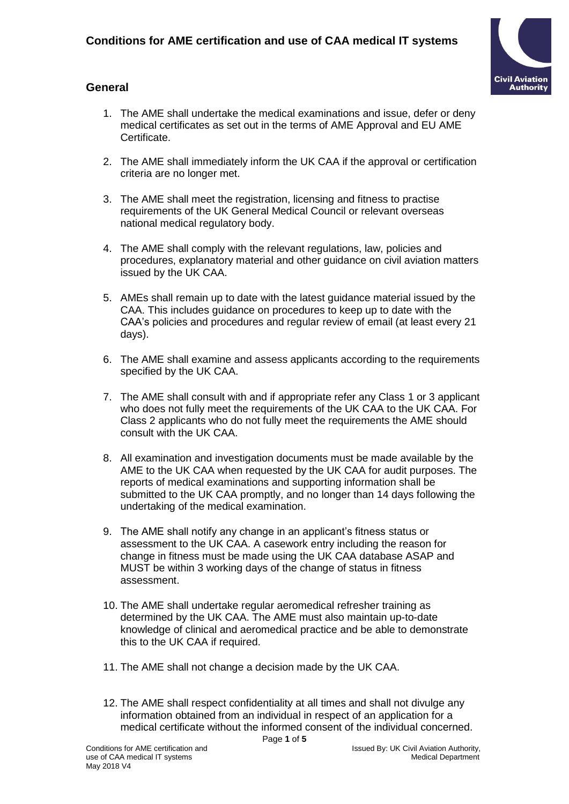

### **General**

- 1. The AME shall undertake the medical examinations and issue, defer or deny medical certificates as set out in the terms of AME Approval and EU AME Certificate.
- 2. The AME shall immediately inform the UK CAA if the approval or certification criteria are no longer met.
- 3. The AME shall meet the registration, licensing and fitness to practise requirements of the UK General Medical Council or relevant overseas national medical regulatory body.
- 4. The AME shall comply with the relevant regulations, law, policies and procedures, explanatory material and other guidance on civil aviation matters issued by the UK CAA.
- 5. AMEs shall remain up to date with the latest guidance material issued by the CAA. This includes guidance on procedures to keep up to date with the CAA's policies and procedures and regular review of email (at least every 21 days).
- 6. The AME shall examine and assess applicants according to the requirements specified by the UK CAA.
- 7. The AME shall consult with and if appropriate refer any Class 1 or 3 applicant who does not fully meet the requirements of the UK CAA to the UK CAA. For Class 2 applicants who do not fully meet the requirements the AME should consult with the UK CAA.
- 8. All examination and investigation documents must be made available by the AME to the UK CAA when requested by the UK CAA for audit purposes. The reports of medical examinations and supporting information shall be submitted to the UK CAA promptly, and no longer than 14 days following the undertaking of the medical examination.
- 9. The AME shall notify any change in an applicant's fitness status or assessment to the UK CAA. A casework entry including the reason for change in fitness must be made using the UK CAA database ASAP and MUST be within 3 working days of the change of status in fitness assessment.
- 10. The AME shall undertake regular aeromedical refresher training as determined by the UK CAA. The AME must also maintain up-to-date knowledge of clinical and aeromedical practice and be able to demonstrate this to the UK CAA if required.
- 11. The AME shall not change a decision made by the UK CAA.
- 12. The AME shall respect confidentiality at all times and shall not divulge any information obtained from an individual in respect of an application for a medical certificate without the informed consent of the individual concerned.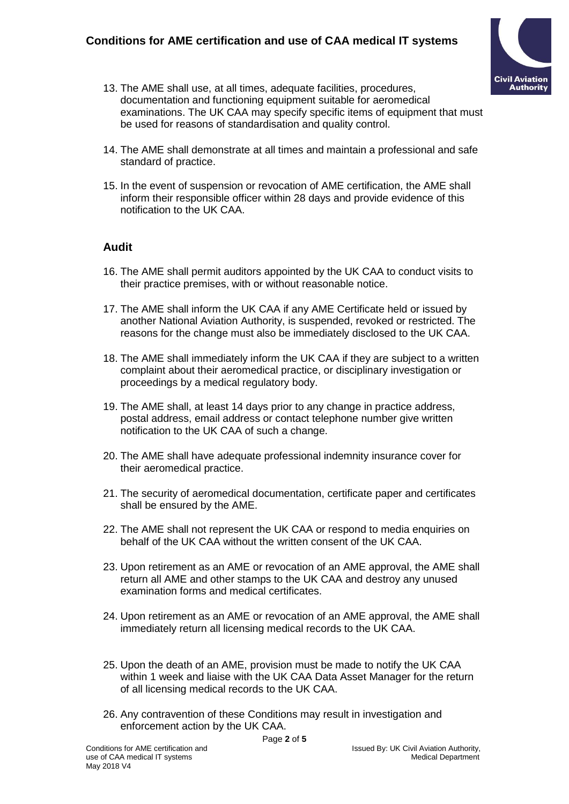

- 13. The AME shall use, at all times, adequate facilities, procedures, documentation and functioning equipment suitable for aeromedical examinations. The UK CAA may specify specific items of equipment that must be used for reasons of standardisation and quality control.
- 14. The AME shall demonstrate at all times and maintain a professional and safe standard of practice.
- 15. In the event of suspension or revocation of AME certification, the AME shall inform their responsible officer within 28 days and provide evidence of this notification to the UK CAA.

#### **Audit**

- 16. The AME shall permit auditors appointed by the UK CAA to conduct visits to their practice premises, with or without reasonable notice.
- 17. The AME shall inform the UK CAA if any AME Certificate held or issued by another National Aviation Authority, is suspended, revoked or restricted. The reasons for the change must also be immediately disclosed to the UK CAA.
- 18. The AME shall immediately inform the UK CAA if they are subject to a written complaint about their aeromedical practice, or disciplinary investigation or proceedings by a medical regulatory body.
- 19. The AME shall, at least 14 days prior to any change in practice address, postal address, email address or contact telephone number give written notification to the UK CAA of such a change.
- 20. The AME shall have adequate professional indemnity insurance cover for their aeromedical practice.
- 21. The security of aeromedical documentation, certificate paper and certificates shall be ensured by the AME.
- 22. The AME shall not represent the UK CAA or respond to media enquiries on behalf of the UK CAA without the written consent of the UK CAA.
- 23. Upon retirement as an AME or revocation of an AME approval, the AME shall return all AME and other stamps to the UK CAA and destroy any unused examination forms and medical certificates.
- 24. Upon retirement as an AME or revocation of an AME approval, the AME shall immediately return all licensing medical records to the UK CAA.
- 25. Upon the death of an AME, provision must be made to notify the UK CAA within 1 week and liaise with the UK CAA Data Asset Manager for the return of all licensing medical records to the UK CAA.
- 26. Any contravention of these Conditions may result in investigation and enforcement action by the UK CAA.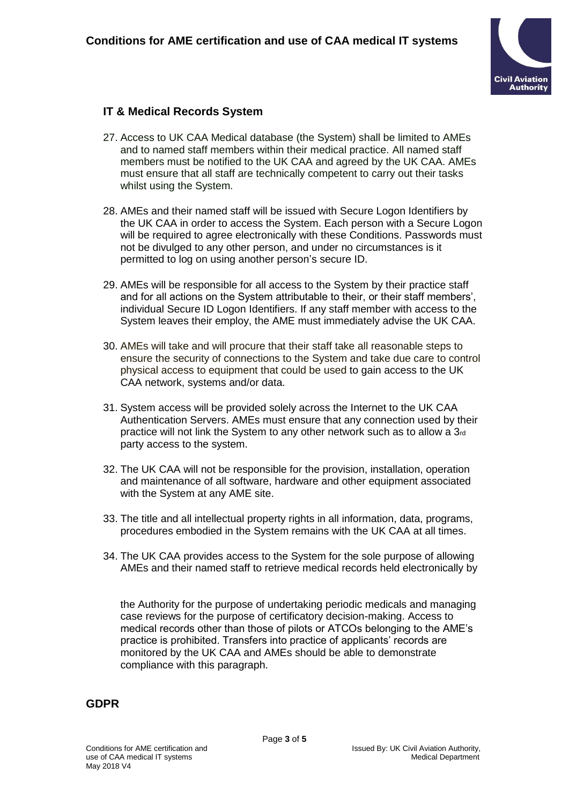

## **IT & Medical Records System**

- 27. Access to UK CAA Medical database (the System) shall be limited to AMEs and to named staff members within their medical practice. All named staff members must be notified to the UK CAA and agreed by the UK CAA. AMEs must ensure that all staff are technically competent to carry out their tasks whilst using the System.
- 28. AMEs and their named staff will be issued with Secure Logon Identifiers by the UK CAA in order to access the System. Each person with a Secure Logon will be required to agree electronically with these Conditions. Passwords must not be divulged to any other person, and under no circumstances is it permitted to log on using another person's secure ID.
- 29. AMEs will be responsible for all access to the System by their practice staff and for all actions on the System attributable to their, or their staff members', individual Secure ID Logon Identifiers. If any staff member with access to the System leaves their employ, the AME must immediately advise the UK CAA.
- 30. AMEs will take and will procure that their staff take all reasonable steps to ensure the security of connections to the System and take due care to control physical access to equipment that could be used to gain access to the UK CAA network, systems and/or data.
- 31. System access will be provided solely across the Internet to the UK CAA Authentication Servers. AMEs must ensure that any connection used by their practice will not link the System to any other network such as to allow a 3rd party access to the system.
- 32. The UK CAA will not be responsible for the provision, installation, operation and maintenance of all software, hardware and other equipment associated with the System at any AME site.
- 33. The title and all intellectual property rights in all information, data, programs, procedures embodied in the System remains with the UK CAA at all times.
- 34. The UK CAA provides access to the System for the sole purpose of allowing AMEs and their named staff to retrieve medical records held electronically by

the Authority for the purpose of undertaking periodic medicals and managing case reviews for the purpose of certificatory decision-making. Access to medical records other than those of pilots or ATCOs belonging to the AME's practice is prohibited. Transfers into practice of applicants' records are monitored by the UK CAA and AMEs should be able to demonstrate compliance with this paragraph.

#### **GDPR**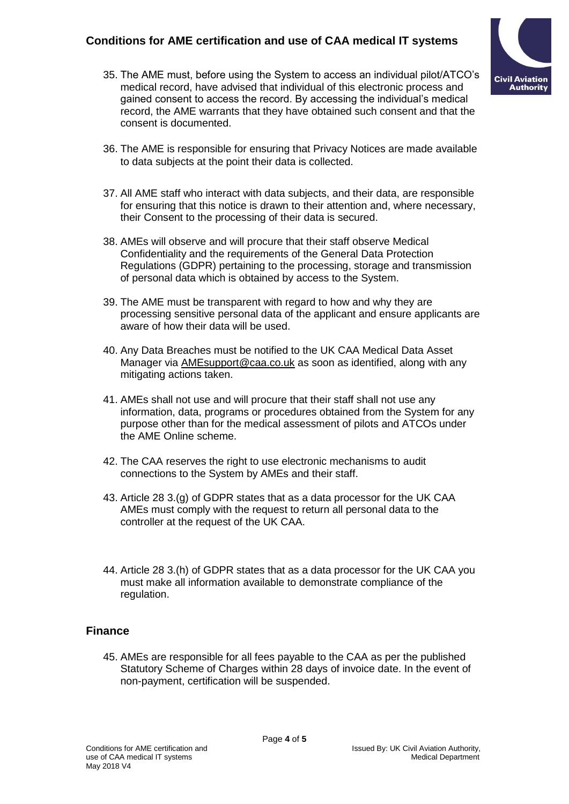# **Conditions for AME certification and use of CAA medical IT systems**

35. The AME must, before using the System to access an individual pilot/ATCO's medical record, have advised that individual of this electronic process and gained consent to access the record. By accessing the individual's medical record, the AME warrants that they have obtained such consent and that the consent is documented.



- 36. The AME is responsible for ensuring that Privacy Notices are made available to data subjects at the point their data is collected.
- 37. All AME staff who interact with data subjects, and their data, are responsible for ensuring that this notice is drawn to their attention and, where necessary, their Consent to the processing of their data is secured.
- 38. AMEs will observe and will procure that their staff observe Medical Confidentiality and the requirements of the General Data Protection Regulations (GDPR) pertaining to the processing, storage and transmission of personal data which is obtained by access to the System.
- 39. The AME must be transparent with regard to how and why they are processing sensitive personal data of the applicant and ensure applicants are aware of how their data will be used.
- 40. Any Data Breaches must be notified to the UK CAA Medical Data Asset Manager via [AMEsupport@caa.co.uk](mailto:AMEsupport@caa.co.uk) as soon as identified, along with any mitigating actions taken.
- 41. AMEs shall not use and will procure that their staff shall not use any information, data, programs or procedures obtained from the System for any purpose other than for the medical assessment of pilots and ATCOs under the AME Online scheme.
- 42. The CAA reserves the right to use electronic mechanisms to audit connections to the System by AMEs and their staff.
- 43. Article 28 3.(g) of GDPR states that as a data processor for the UK CAA AMEs must comply with the request to return all personal data to the controller at the request of the UK CAA.
- 44. Article 28 3.(h) of GDPR states that as a data processor for the UK CAA you must make all information available to demonstrate compliance of the regulation.

#### **Finance**

45. AMEs are responsible for all fees payable to the CAA as per the published Statutory Scheme of Charges within 28 days of invoice date. In the event of non-payment, certification will be suspended.